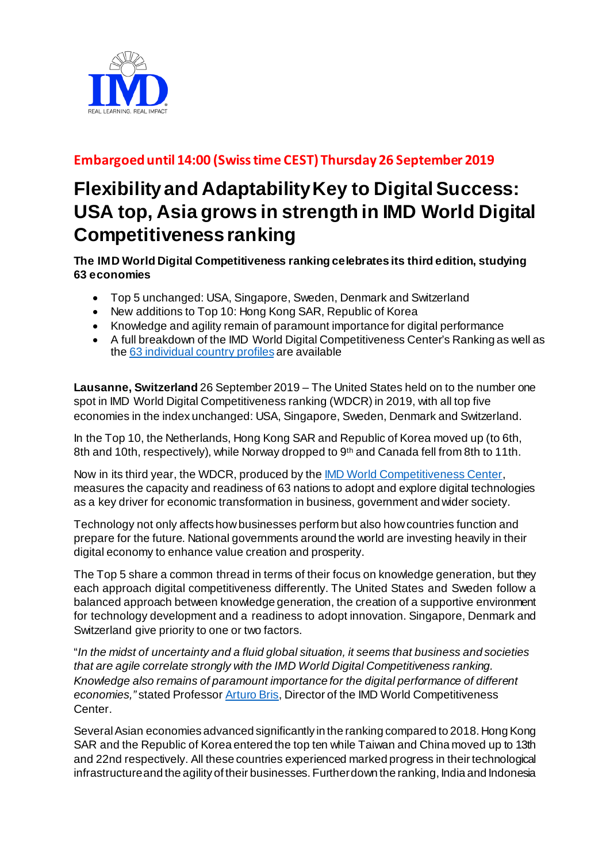

## **Embargoed until 14:00 (Swiss time CEST) Thursday 26 September 2019**

## **Flexibility and Adaptability Key to DigitalSuccess: USA top, Asia grows in strength in IMD World Digital Competitiveness ranking**

**The IMD World Digital Competitiveness ranking celebrates its third edition, studying 63 economies**

- Top 5 unchanged: USA, Singapore, Sweden, Denmark and Switzerland
- New additions to Top 10: Hong Kong SAR, Republic of Korea
- Knowledge and agility remain of paramount importance for digital performance
- A full breakdown of the IMD World Digital Competitiveness Center's Ranking as well as the [63 individual country profiles](https://www.imd.org/wcc-press/home/?access=pressAedgWdwcc) are available

**Lausanne, Switzerland** 26 September 2019 – The United States held on to the number one spot in IMD World Digital Competitiveness ranking (WDCR) in 2019, with all top five economies in the index unchanged: USA, Singapore, Sweden, Denmark and Switzerland.

In the Top 10, the Netherlands, Hong Kong SAR and Republic of Korea moved up (to 6th, 8th and 10th, respectively), while Norway dropped to 9<sup>th</sup> and Canada fell from 8th to 11th.

Now in its third year, the WDCR, produced by th[e IMD World Competitiveness Center](https://www.imd.org/wcc/world-competitiveness-center/), measures the capacity and readiness of 63 nations to adopt and explore digital technologies as a key driver for economic transformation in business, government and wider society.

Technology not only affects how businesses perform but also how countries function and prepare for the future. National governments around the world are investing heavily in their digital economy to enhance value creation and prosperity.

The Top 5 share a common thread in terms of their focus on knowledge generation, but they each approach digital competitiveness differently. The United States and Sweden follow a balanced approach between knowledge generation, the creation of a supportive environment for technology development and a readiness to adopt innovation. Singapore, Denmark and Switzerland give priority to one or two factors.

"*In the midst of uncertainty and a fluid global situation, it seems that business and societies that are agile correlate strongly with the IMD World Digital Competitiveness ranking. Knowledge also remains of paramount importance for the digital performance of different economies,"* stated Professo[r Arturo Bris](https://www.imd.org/faculty/professors/arturo-bris/), Director of the IMD World Competitiveness Center.

Several Asian economies advanced significantly in the ranking compared to 2018. Hong Kong SAR and the Republic of Korea entered the top ten while Taiwan and China moved up to 13th and 22nd respectively. All these countries experienced marked progress in their technological infrastructure and the agility of their businesses. Further down the ranking, India and Indonesia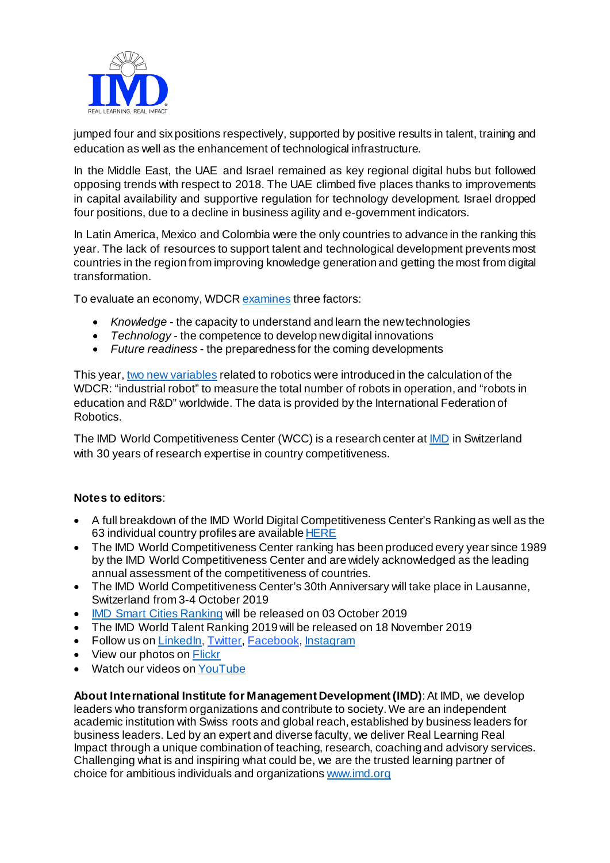

jumped four and six positions respectively, supported by positive results in talent, training and education as well as the enhancement of technological infrastructure.

In the Middle East, the UAE and Israel remained as key regional digital hubs but followed opposing trends with respect to 2018. The UAE climbed five places thanks to improvements in capital availability and supportive regulation for technology development. Israel dropped four positions, due to a decline in business agility and e-government indicators.

In Latin America, Mexico and Colombia were the only countries to advance in the ranking this year. The lack of resources to support talent and technological development prevents most countries in the region from improving knowledge generation and getting the most from digital transformation.

To evaluate an economy, WDC[R examines](https://www.imd.org/globalassets/wcc/docs/methodo/imd_world_digital_competitiveness_ranking_methodology.pdf) three factors:

- *Knowledge* the capacity to understand and learn the new technologies
- *Technology* the competence to develop new digital innovations
- *Future readiness* the preparedness for the coming developments

This year[, two new variables](https://www.imd.org/research-knowledge/articles/com-september-2019/) related to robotics were introduced in the calculation of the WDCR: "industrial robot" to measure the total number of robots in operation, and "robots in education and R&D" worldwide. The data is provided by the International Federation of Robotics.

The IMD World Competitiveness Center (WCC) is a research center at **IMD** in Switzerland with 30 years of research expertise in country competitiveness.

## **Notes to editors**:

- A full breakdown of the IMD World Digital Competitiveness Center's Ranking as well as the 63 individual country profiles are availabl[e HERE](https://www.imd.org/wcc-press/home/?access=pressAedgWdwcc)
- The IMD World Competitiveness Center ranking has been produced every year since 1989 by the IMD World Competitiveness Center and are widely acknowledged as the leading annual assessment of the competitiveness of countries.
- The IMD World Competitiveness Center's 30th Anniversary will take place in Lausanne, Switzerland from 3-4 October 2019
- [IMD Smart Cities Ranking](https://www.imd.org/smart-city-observatory/smart-city-index/) will be released on 03 October 2019
- The IMD World Talent Ranking 2019 will be released on 18 November 2019
- Follow us on [LinkedIn,](https://www.linkedin.com/school/164323/) [Twitter,](https://twitter.com/IMD_Bschool) [Facebook](https://www.facebook.com/imdbschool/), Instagram
- View our photos o[n Flickr](https://www.flickr.com/photos/imd_business_school/)
- Watch our videos on [YouTube](https://www.youtube.com/user/IMD)

**About International Institute for Management Development (IMD)**: At IMD, we develop leaders who transform organizations and contribute to society. We are an independent academic institution with Swiss roots and global reach, established by business leaders for business leaders. Led by an expert and diverse faculty, we deliver Real Learning Real Impact through a unique combination of teaching, research, coaching and advisory services. Challenging what is and inspiring what could be, we are the trusted learning partner of choice for ambitious individuals and organization[s www.imd.org](http://www.imd.org/)